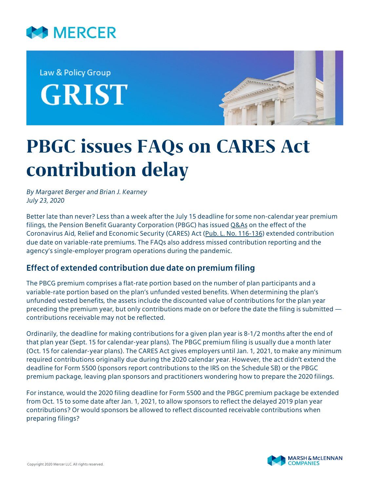

Law & Policy Group **GRIST** 



# **PBGC issues FAQs on CARES Act contribution delay**

*By Margaret Berger and Brian J. Kearney July 23, 2020*

Better late than never? Less than a week after the July 15 deadline for some non-calendar year premium filings, the Pension Benefit Guaranty Corporation (PBGC) has issued [Q&As](https://www.pbgc.gov/prac/single-employer-plan-sponsors-and-administrators-questions-and-answers) on the effect of the Coronavirus Aid, Relief and Economic Security (CARES) Act ([Pub. L. No. 116-136\)](https://www.congress.gov/116/bills/hr748/BILLS-116hr748enr.pdf) extended contribution due date on variable-rate premiums. The FAQs also address missed contribution reporting and the agency's single-employer program operations during the pandemic.

## **Effect of extended contribution due date on premium filing**

The PBCG premium comprises a flat-rate portion based on the number of plan participants and a variable-rate portion based on the plan's unfunded vested benefits. When determining the plan's unfunded vested benefits, the assets include the discounted value of contributions for the plan year preceding the premium year, but only contributions made on or before the date the filing is submitted contributions receivable may not be reflected.

Ordinarily, the deadline for making contributions for a given plan year is 8-1/2 months after the end of that plan year (Sept. 15 for calendar-year plans). The PBGC premium filing is usually due a month later (Oct. 15 for calendar-year plans). The CARES Act gives employers until Jan. 1, 2021, to make any minimum required contributions originally due during the 2020 calendar year. However, the act didn't extend the deadline for Form 5500 (sponsors report contributions to the IRS on the Schedule SB) or the PBGC premium package, leaving plan sponsors and practitioners wondering how to prepare the 2020 filings.

For instance, would the 2020 filing deadline for Form 5500 and the PBGC premium package be extended from Oct. 15 to some date after Jan. 1, 2021, to allow sponsors to reflect the delayed 2019 plan year contributions? Or would sponsors be allowed to reflect discounted receivable contributions when preparing filings?

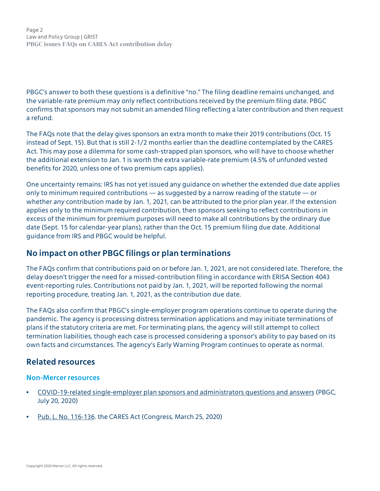Page 2 Law and Policy Group | GRIST **PBGC issues FAQs on CARES Act contribution delay**

PBGC's answer to both these questions is a definitive "no." The filing deadline remains unchanged, and the variable-rate premium may only reflect contributions received by the premium filing date. PBGC confirms that sponsors may not submit an amended filing reflecting a later contribution and then request a refund.

The FAQs note that the delay gives sponsors an extra month to make their 2019 contributions (Oct. 15 instead of Sept. 15). But that is still 2-1/2 months earlier than the deadline contemplated by the CARES Act. This may pose a dilemma for some cash-strapped plan sponsors, who will have to choose whether the additional extension to Jan. 1 is worth the extra variable-rate premium (4.5% of unfunded vested benefits for 2020, unless one of two premium caps applies).

One uncertainty remains: IRS has not yet issued any guidance on whether the extended due date applies only to minimum required contributions — as suggested by a narrow reading of the statute — or whether *any* contribution made by Jan. 1, 2021, can be attributed to the prior plan year. If the extension applies only to the minimum required contribution, then sponsors seeking to reflect contributions in excess of the minimum for premium purposes will need to make all contributions by the ordinary due date (Sept. 15 for calendar-year plans), rather than the Oct. 15 premium filing due date. Additional guidance from IRS and PBGC would be helpful.

## **No impact on other PBGC filings or plan terminations**

The FAQs confirm that contributions paid on or before Jan. 1, 2021, are not considered late. Therefore, the delay doesn't trigger the need for a missed-contribution filing in accordance with ERISA Section 4043 event-reporting rules. Contributions not paid by Jan. 1, 2021, will be reported following the normal reporting procedure, treating Jan. 1, 2021, as the contribution due date.

The FAQs also confirm that PBGC's single-employer program operations continue to operate during the pandemic. The agency is processing distress termination applications and may initiate terminations of plans if the statutory criteria are met. For terminating plans, the agency will still attempt to collect termination liabilities, though each case is processed considering a sponsor's ability to pay based on its own facts and circumstances. The agency's Early Warning Program continues to operate as normal.

## **Related resources**

#### **Non-Mercer resources**

- [COVID-19-related single-employer plan sponsors and administrators questions and answers](https://www.pbgc.gov/prac/single-employer-plan-sponsors-and-administrators-questions-and-answers) (PBGC, July 20, 2020)
- [Pub. L. No. 116-136](https://www.congress.gov/116/bills/hr748/BILLS-116hr748eas.pdf), the CARES Act (Congress, March 25, 2020)